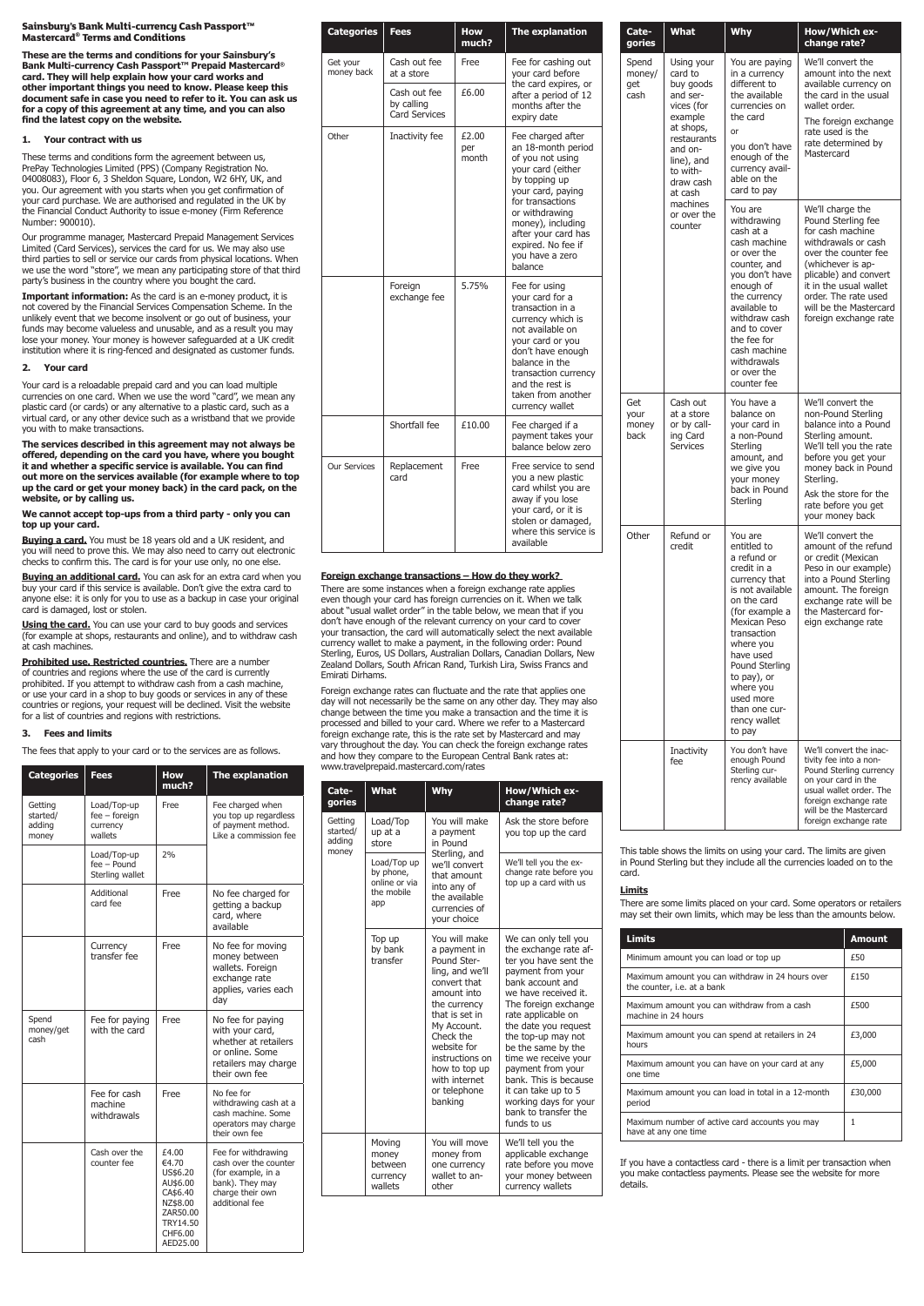#### **Sainsbury's Bank Multi-currency Cash Passport™ Mastercard® Terms and Conditions**

**These are the terms and conditions for your Sainsbury's Bank Multi-currency Cash Passport™ Prepaid Mastercard® card. They will help explain how your card works and other important things you need to know. Please keep this document safe in case you need to refer to it. You can ask us for a copy of this agreement at any time, and you can also find the latest copy on the website.**

### **1. Your contract with us**

These terms and conditions form the agreement between us, PrePay Technologies Limited (PPS) (Company Registration No. 04008083), Floor 6, 3 Sheldon Square, London, W2 6HY, UK, and you. Our agreement with you starts when you get confirmation of your card purchase. We are authorised and regulated in the UK by the Financial Conduct Authority to issue e-money (Firm Reference Number: 900010).

Our programme manager, Mastercard Prepaid Management Services Limited (Card Services), services the card for us. We may also use third parties to sell or service our cards from physical locations. When we use the word "store", we mean any participating store of that third party's business in the country where you bought the card.

**Important information:** As the card is an e-money product, it is not covered by the Financial Services Compensation Scheme. In the unlikely event that we become insolvent or go out of business, your funds may become valueless and unusable, and as a result you may lose your money. Your money is however safeguarded at a UK credit institution where it is ring-fenced and designated as customer funds.

### **2. Your card**

Your card is a reloadable prepaid card and you can load multiple currencies on one card. When we use the word "card", we mean any plastic card (or cards) or any alternative to a plastic card, such as a virtual card, or any other device such as a wristband that we provide you with to make transactions.

**The services described in this agreement may not always be offered, depending on the card you have, where you bought it and whether a specific service is available. You can find out more on the services available (for example where to top up the card or get your money back) in the card pack, on the website, or by calling us.** 

**We cannot accept top-ups from a third party - only you can top up your card.**

**Buying a card.** You must be 18 years old and a UK resident, and you will need to prove this. We may also need to carry out electronic checks to confirm this. The card is for your use only, no one else.

**Buying an additional card.** You can ask for an extra card when you buy your card if this service is available. Don't give the extra card t anyone else: it is only for you to use as a backup in case your original card is damaged, lost or stolen.

**Using the card.** You can use your card to buy goods and services (for example at shops, restaurants and online), and to withdraw cash at cash machines.

**Prohibited use. Restricted countries.** There are a number of countries and regions where the use of the card is currently prohibited. If you attempt to withdraw cash from a cash machine, or use your card in a shop to buy goods or services in any of these countries or regions, your request will be declined. Visit the website for a list of countries and regions with restrictions.

### **3. Fees and limits**

The fees that apply to your card or to the services are as follows.

| <b>Categories</b>                      | <b>Fees</b>                                         | How<br>much?                                                                                                  | <b>The explanation</b>                                                                                                      |
|----------------------------------------|-----------------------------------------------------|---------------------------------------------------------------------------------------------------------------|-----------------------------------------------------------------------------------------------------------------------------|
| Getting<br>started/<br>adding<br>money | Load/Top-up<br>fee - foreign<br>currency<br>wallets | Free                                                                                                          | Fee charged when<br>you top up regardless<br>of payment method.<br>Like a commission fee                                    |
|                                        | Load/Top-up<br>$fee - Pound$<br>Sterling wallet     | 2%                                                                                                            |                                                                                                                             |
|                                        | Additional<br>card fee                              | <b>Free</b>                                                                                                   | No fee charged for<br>getting a backup<br>card, where<br>available                                                          |
|                                        | Currency<br>transfer fee                            | Free                                                                                                          | No fee for moving<br>money between<br>wallets. Foreign<br>exchange rate<br>applies, varies each<br>dav                      |
| Spend<br>money/get<br>cash             | Fee for paying<br>with the card                     | <b>Free</b>                                                                                                   | No fee for paying<br>with your card,<br>whether at retailers<br>or online. Some<br>retailers may charge<br>their own fee    |
|                                        | Fee for cash<br>machine<br>withdrawals              | Free                                                                                                          | No fee for<br>withdrawing cash at a<br>cash machine. Some<br>operators may charge<br>their own fee                          |
|                                        | Cash over the<br>counter fee                        | £4.00<br>€4.70<br>US\$6.20<br>AU\$6.00<br>CA\$6.40<br>NZ\$8.00<br>ZAR50.00<br>TRY14.50<br>CHF6.00<br>AED25.00 | Fee for withdrawing<br>cash over the counter<br>(for example, in a<br>bank). They may<br>charge their own<br>additional fee |

| <b>Categories</b>      | <b>Fees</b>                                 | How<br>much?          | The explanation                                                                                                                                                                                                                                              |
|------------------------|---------------------------------------------|-----------------------|--------------------------------------------------------------------------------------------------------------------------------------------------------------------------------------------------------------------------------------------------------------|
| Get your<br>money back | Cash out fee<br>at a store                  | Free                  | Fee for cashing out<br>your card before                                                                                                                                                                                                                      |
|                        | Cash out fee<br>by calling<br>Card Services | £6.00                 | the card expires, or<br>after a period of 12<br>months after the<br>expiry date                                                                                                                                                                              |
| Other                  | Inactivity fee                              | £2.00<br>per<br>month | Fee charged after<br>an 18-month period<br>of you not using<br>your card (either<br>by topping up<br>your card, paying<br>for transactions<br>or withdrawing<br>money), including<br>after your card has<br>expired. No fee if<br>you have a zero<br>balance |
|                        | Foreign<br>exchange fee                     | 5.75%                 | Fee for using<br>your card for a<br>transaction in a<br>currency which is<br>not available on<br>your card or you<br>don't have enough<br>balance in the<br>transaction currency<br>and the rest is<br>taken from another<br>currency wallet                 |
|                        | Shortfall fee                               | £10.00                | Fee charged if a<br>payment takes your<br>balance below zero                                                                                                                                                                                                 |
| <b>Our Services</b>    | Replacement<br>card                         | Free                  | Free service to send<br>you a new plastic<br>card whilst you are<br>away if you lose<br>your card, or it is<br>stolen or damaged,<br>where this service is<br>available                                                                                      |

#### **Foreign exchange transactions – How do they work?**

There are some instances when a foreign exchange rate applies even though your card has foreign currencies on it. When we talk about "usual wallet order" in the table below, we mean that if you don't have enough of the relevant currency on your card to cover your transaction, the card will automatically select the next available currency wallet to make a payment, in the following order: Pound Sterling, Euros, US Dollars, Australian Dollars, Canadian Dollars, New Zealand Dollars, South African Rand, Turkish Lira, Swiss Francs and Emirati Dirhams.

Foreign exchange rates can fluctuate and the rate that applies one day will not necessarily be the same on any other day. They may also change between the time you make a transaction and the time it is processed and billed to your card. Where we refer to a Mastercard foreign exchange rate, this is the rate set by Mastercard and may vary throughout the day. You can check the foreign exchange rates and how they compare to the European Central Bank rates at: www.travelprepaid.mastercard.com/rates

| Cate-<br>gories                        | What                                                           | Why                                                                                                                                                                                                                                                         | How/Which ex-<br>change rate?                                                                                                                                                                                                                                                                                                                                                                                          |
|----------------------------------------|----------------------------------------------------------------|-------------------------------------------------------------------------------------------------------------------------------------------------------------------------------------------------------------------------------------------------------------|------------------------------------------------------------------------------------------------------------------------------------------------------------------------------------------------------------------------------------------------------------------------------------------------------------------------------------------------------------------------------------------------------------------------|
| Getting<br>started/<br>adding<br>money | Load/Top<br>up at a<br>store                                   | You will make<br>a payment<br>in Pound                                                                                                                                                                                                                      | Ask the store before<br>you top up the card                                                                                                                                                                                                                                                                                                                                                                            |
|                                        | Load/Top up<br>by phone,<br>online or via<br>the mobile<br>app | Sterling, and<br>we'll convert<br>that amount<br>into any of<br>the available<br>currencies of<br>vour choice                                                                                                                                               | We'll tell you the ex-<br>change rate before you<br>top up a card with us                                                                                                                                                                                                                                                                                                                                              |
|                                        | Top up<br>by bank<br>transfer                                  | You will make<br>a payment in<br>Pound Ster-<br>ling, and we'll<br>convert that<br>amount into<br>the currency<br>that is set in<br>My Account.<br>Check the<br>website for<br>instructions on<br>how to top up<br>with internet<br>or telephone<br>banking | We can only tell you<br>the exchange rate af-<br>ter you have sent the<br>payment from your<br>bank account and<br>we have received it.<br>The foreign exchange<br>rate applicable on<br>the date you request<br>the top-up may not<br>be the same by the<br>time we receive your<br>payment from your<br>bank. This is because<br>it can take up to 5<br>working days for your<br>bank to transfer the<br>funds to us |
|                                        | Moving<br>money<br>between<br>currency<br>wallets              | You will move<br>money from<br>one currency<br>wallet to an-<br>other                                                                                                                                                                                       | We'll tell you the<br>applicable exchange<br>rate before you move<br>your money between<br>currency wallets                                                                                                                                                                                                                                                                                                            |

| Cate-<br>gories                                                                                                                                                                                                                          | What                                                                                                                                                                                                                                                           | Why                                                                                                                                                                                                                                                                                       | How/Which ex-<br>change rate?                                                                                                                                                                                                                |
|------------------------------------------------------------------------------------------------------------------------------------------------------------------------------------------------------------------------------------------|----------------------------------------------------------------------------------------------------------------------------------------------------------------------------------------------------------------------------------------------------------------|-------------------------------------------------------------------------------------------------------------------------------------------------------------------------------------------------------------------------------------------------------------------------------------------|----------------------------------------------------------------------------------------------------------------------------------------------------------------------------------------------------------------------------------------------|
| Spend<br>Using your<br>card to<br>money/<br>buy goods<br>get<br>and ser-<br>cash<br>vices (for<br>example<br>at shops,<br>restaurants<br>and on-<br>line), and<br>to with-<br>draw cash<br>at cash<br>machines<br>or over the<br>counter |                                                                                                                                                                                                                                                                | You are paying<br>in a currency<br>different to<br>the available<br>currencies on<br>the card<br>or<br>you don't have<br>enough of the<br>currency avail-<br>able on the<br>card to pay                                                                                                   | We'll convert the<br>amount into the next<br>available currency on<br>the card in the usual<br>wallet order.<br>The foreign exchange<br>rate used is the<br>rate determined by<br>Mastercard                                                 |
|                                                                                                                                                                                                                                          | You are<br>withdrawing<br>cash at a<br>cash machine<br>or over the<br>counter, and<br>you don't have<br>enough of<br>the currency<br>available to<br>withdraw cash<br>and to cover<br>the fee for<br>cash machine<br>withdrawals<br>or over the<br>counter fee | We'll charge the<br>Pound Sterling fee<br>for cash machine<br>withdrawals or cash<br>over the counter fee<br>(whichever is ap-<br>plicable) and convert<br>it in the usual wallet<br>order. The rate used<br>will be the Mastercard<br>foreign exchange rate                              |                                                                                                                                                                                                                                              |
| Get<br>your<br>money<br>back                                                                                                                                                                                                             | Cash out<br>at a store<br>or by call-<br>ing Card<br><b>Services</b>                                                                                                                                                                                           | You have a<br>balance on<br>your card in<br>a non-Pound<br>Sterling<br>amount, and<br>we give you<br>your money<br>back in Pound<br>Sterling                                                                                                                                              | We'll convert the<br>non-Pound Sterling<br>balance into a Pound<br>Sterling amount.<br>We'll tell you the rate<br>before you get your<br>money back in Pound<br>Sterling.<br>Ask the store for the<br>rate before you get<br>your money back |
| Other                                                                                                                                                                                                                                    | Refund or<br>credit                                                                                                                                                                                                                                            | You are<br>entitled to<br>a refund or<br>credit in a<br>currency that<br>is not available<br>on the card<br>(for example a<br>Mexican Peso<br>transaction<br>where you<br>have used<br>Pound Sterling<br>to pay), or<br>where you<br>used more<br>than one cur-<br>rency wallet<br>to pay | We'll convert the<br>amount of the refund<br>or credit (Mexican<br>Peso in our example)<br>into a Pound Sterling<br>amount. The foreign<br>exchange rate will be<br>the Mastercard for-<br>eign exchange rate                                |
|                                                                                                                                                                                                                                          | Inactivity<br>fee                                                                                                                                                                                                                                              | You don't have<br>enough Pound<br>Sterling cur-<br>rency available                                                                                                                                                                                                                        | We'll convert the inac-<br>tivity fee into a non-<br>Pound Sterling currency<br>on your card in the<br>usual wallet order. The<br>foreign exchange rate<br>will be the Mastercard<br>foreian exchange rate                                   |

This table shows the limits on using your card. The limits are given in Pound Sterling but they include all the currencies loaded on to the card.

### **Limits**

There are some limits placed on your card. Some operators or retailers may set their own limits, which may be less than the amounts below.

| Limits                                                                          | <b>Amount</b> |
|---------------------------------------------------------------------------------|---------------|
| Minimum amount you can load or top up                                           | £50           |
| Maximum amount you can withdraw in 24 hours over<br>the counter, i.e. at a bank | £150          |
| Maximum amount you can withdraw from a cash<br>machine in 24 hours              | £500          |
| Maximum amount you can spend at retailers in 24<br>hours                        | £3,000        |
| Maximum amount you can have on your card at any<br>one time                     | £5,000        |
| Maximum amount you can load in total in a 12-month<br>period                    | £30,000       |
| Maximum number of active card accounts you may<br>have at any one time          | 1             |

If you have a contactless card - there is a limit per transaction when you make contactless payments. Please see the website for more details.